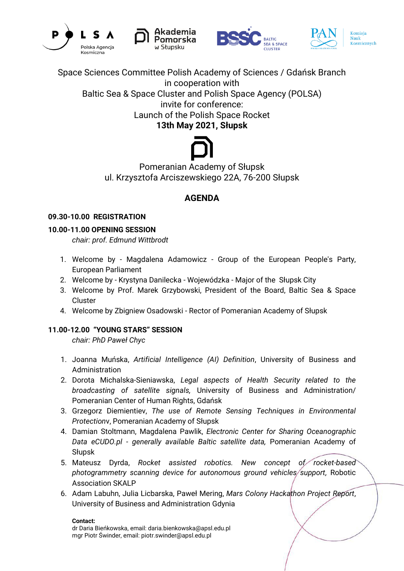







Space Sciences Committee Polish Academy of Sciences / Gdańsk Branch in cooperation with

Baltic Sea & Space Cluster and Polish Space Agency (POLSA)

invite for conference: Launch of the Polish Space Rocket

**13th May 2021, Słupsk**

Pomeranian Academy of Słupsk ul. Krzysztofa Arciszewskiego 22A, 76-200 Słupsk

# **AGENDA**

# **09.30-10.00 REGISTRATION**

# **10.00-11.00 OPENING SESSION**

*chair: prof. Edmund Wittbrodt*

- 1. Welcome by Magdalena Adamowicz Group of the European People's Party, European Parliament
- 2. Welcome by Krystyna Danilecka Wojewódzka Major of the Słupsk City
- 3. Welcome by Prof. Marek Grzybowski, President of the Board, Baltic Sea & Space **Cluster**
- 4. Welcome by Zbigniew Osadowski Rector of Pomeranian Academy of Słupsk

# **11.00-12.00 "YOUNG STARS" SESSION**

*chair: PhD Paweł Chyc*

- 1. Joanna Muńska, *Artificial Intelligence (AI) Definition*, University of Business and Administration
- 2. Dorota Michalska-Sieniawska, *Legal aspects of Health Security related to the broadcasting of satellite signals,* University of Business and Administration/ Pomeranian Center of Human Rights, Gdańsk
- 3. Grzegorz Diemientiev, *The use of Remote Sensing Techniques in Environmental Protection*v, Pomeranian Academy of Słupsk
- 4. Damian Stoltmann, Magdalena Pawlik, *Electronic Center for Sharing Oceanographic Data eCUDO.pl - generally available Baltic satellite data,* Pomeranian Academy of Słupsk
- 5. Mateusz Dyrda, *Rocket assisted robotics. New concept of rocket-based photogrammetry scanning device for autonomous ground vehicles support,* Robotic Association SKALP
- 6. Adam Labuhn, Julia Licbarska, Paweł Mering, *Mars Colony Hackathon Project Report*, University of Business and Administration Gdynia

#### **Contact:**

dr Daria Bieńkowska, email: daria.bienkowska@apsl.edu.pl mgr Piotr Świnder, email: piotr.swinder@apsl.edu.pl